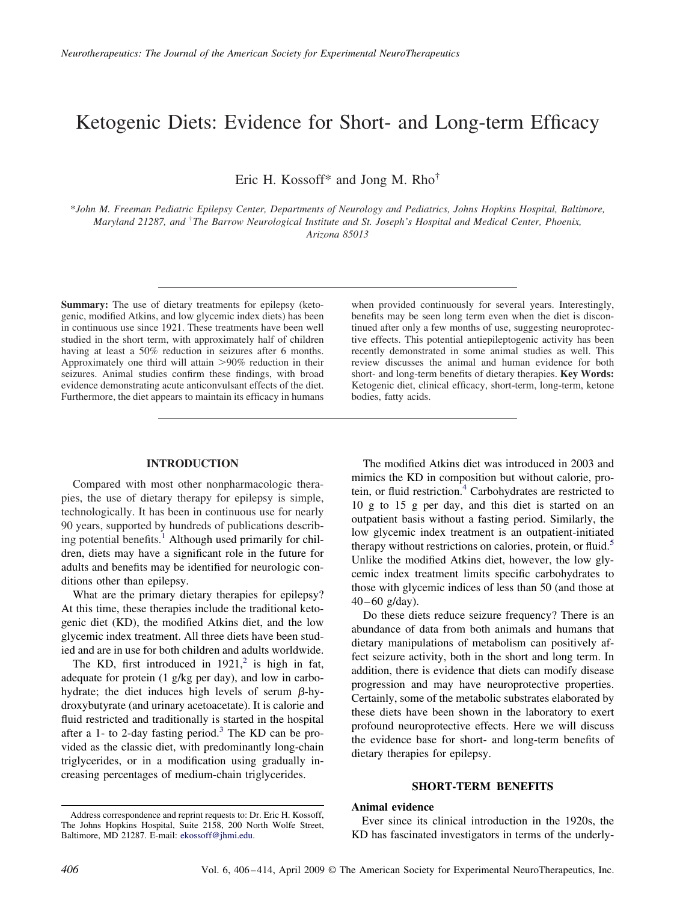# Ketogenic Diets: Evidence for Short- and Long-term Efficacy

Eric H. Kossoff\* and Jong M. Rho†

\**John M. Freeman Pediatric Epilepsy Center, Departments of Neurology and Pediatrics, Johns Hopkins Hospital, Baltimore, Maryland 21287, and* † *The Barrow Neurological Institute and St. Joseph's Hospital and Medical Center, Phoenix, Arizona 85013*

**Summary:** The use of dietary treatments for epilepsy (ketogenic, modified Atkins, and low glycemic index diets) has been in continuous use since 1921. These treatments have been well studied in the short term, with approximately half of children having at least a 50% reduction in seizures after 6 months. Approximately one third will attain 90% reduction in their seizures. Animal studies confirm these findings, with broad evidence demonstrating acute anticonvulsant effects of the diet. Furthermore, the diet appears to maintain its efficacy in humans

when provided continuously for several years. Interestingly, benefits may be seen long term even when the diet is discontinued after only a few months of use, suggesting neuroprotective effects. This potential antiepileptogenic activity has been recently demonstrated in some animal studies as well. This review discusses the animal and human evidence for both short- and long-term benefits of dietary therapies. **Key Words:** Ketogenic diet, clinical efficacy, short-term, long-term, ketone bodies, fatty acids.

## **INTRODUCTION**

Compared with most other nonpharmacologic therapies, the use of dietary therapy for epilepsy is simple, technologically. It has been in continuous use for nearly 90 years, supported by hundreds of publications describing potential benefits.<sup>1</sup> Although used primarily for children, diets may have a significant role in the future for adults and benefits may be identified for neurologic conditions other than epilepsy.

What are the primary dietary therapies for epilepsy? At this time, these therapies include the traditional ketogenic diet (KD), the modified Atkins diet, and the low glycemic index treatment. All three diets have been studied and are in use for both children and adults worldwide.

The KD, first introduced in  $1921$ ,<sup>2</sup> is high in fat, adequate for protein (1 g/kg per day), and low in carbohydrate; the diet induces high levels of serum  $\beta$ -hydroxybutyrate (and urinary acetoacetate). It is calorie and fluid restricted and traditionally is started in the hospital after a 1- to 2-day fasting period.<sup>3</sup> The KD can be provided as the classic diet, with predominantly long-chain triglycerides, or in a modification using gradually increasing percentages of medium-chain triglycerides.

Do these diets reduce seizure frequency? There is an abundance of data from both animals and humans that dietary manipulations of metabolism can positively affect seizure activity, both in the short and long term. In addition, there is evidence that diets can modify disease progression and may have neuroprotective properties. Certainly, some of the metabolic substrates elaborated by these diets have been shown in the laboratory to exert profound neuroprotective effects. Here we will discuss the evidence base for short- and long-term benefits of dietary therapies for epilepsy.

#### **SHORT-TERM BENEFITS**

#### **Animal evidence**

Ever since its clinical introduction in the 1920s, the KD has fascinated investigators in terms of the underly-

The modified Atkins diet was introduced in 2003 and mimics the KD in composition but without calorie, protein, or fluid restriction.<sup>4</sup> Carbohydrates are restricted to 10 g to 15 g per day, and this diet is started on an outpatient basis without a fasting period. Similarly, the low glycemic index treatment is an outpatient-initiated therapy without restrictions on calories, protein, or fluid.<sup>5</sup> Unlike the modified Atkins diet, however, the low glycemic index treatment limits specific carbohydrates to those with glycemic indices of less than 50 (and those at  $40 - 60$  g/day).

Address correspondence and reprint requests to: Dr. Eric H. Kossoff, The Johns Hopkins Hospital, Suite 2158, 200 North Wolfe Street, Baltimore, MD 21287. E-mail: ekossoff@jhmi.edu.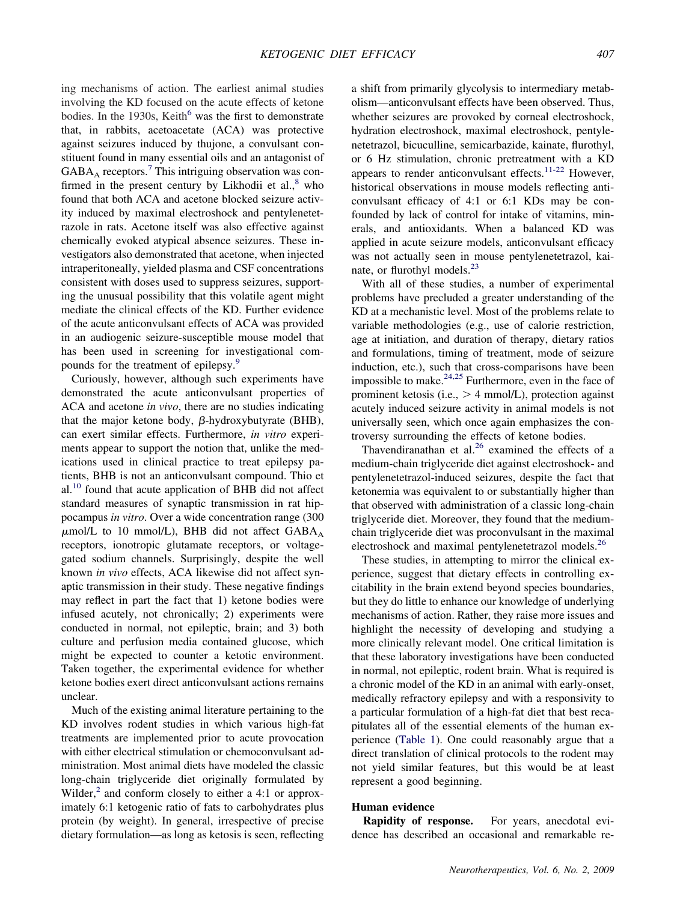ing mechanisms of action. The earliest animal studies involving the KD focused on the acute effects of ketone bodies. In the 1930s, Keith<sup>6</sup> was the first to demonstrate that, in rabbits, acetoacetate (ACA) was protective against seizures induced by thujone, a convulsant constituent found in many essential oils and an antagonist of  $GABA_A$  receptors.<sup>7</sup> This intriguing observation was confirmed in the present century by Likhodii et  $al<sub>1</sub><sup>8</sup>$  who found that both ACA and acetone blocked seizure activity induced by maximal electroshock and pentylenetetrazole in rats. Acetone itself was also effective against chemically evoked atypical absence seizures. These investigators also demonstrated that acetone, when injected intraperitoneally, yielded plasma and CSF concentrations consistent with doses used to suppress seizures, supporting the unusual possibility that this volatile agent might mediate the clinical effects of the KD. Further evidence of the acute anticonvulsant effects of ACA was provided in an audiogenic seizure-susceptible mouse model that has been used in screening for investigational compounds for the treatment of epilepsy.<sup>9</sup>

Curiously, however, although such experiments have demonstrated the acute anticonvulsant properties of ACA and acetone *in vivo*, there are no studies indicating that the major ketone body,  $\beta$ -hydroxybutyrate (BHB), can exert similar effects. Furthermore, *in vitro* experiments appear to support the notion that, unlike the medications used in clinical practice to treat epilepsy patients, BHB is not an anticonvulsant compound. Thio et  $al<sup>10</sup>$  found that acute application of BHB did not affect standard measures of synaptic transmission in rat hippocampus *in vitro*. Over a wide concentration range (300  $\mu$ mol/L to 10 mmol/L), BHB did not affect  $\rm{GABA}_A$ receptors, ionotropic glutamate receptors, or voltagegated sodium channels. Surprisingly, despite the well known *in vivo* effects, ACA likewise did not affect synaptic transmission in their study. These negative findings may reflect in part the fact that 1) ketone bodies were infused acutely, not chronically; 2) experiments were conducted in normal, not epileptic, brain; and 3) both culture and perfusion media contained glucose, which might be expected to counter a ketotic environment. Taken together, the experimental evidence for whether ketone bodies exert direct anticonvulsant actions remains unclear.

Much of the existing animal literature pertaining to the KD involves rodent studies in which various high-fat treatments are implemented prior to acute provocation with either electrical stimulation or chemoconvulsant administration. Most animal diets have modeled the classic long-chain triglyceride diet originally formulated by Wilder, $^2$  and conform closely to either a 4:1 or approximately 6:1 ketogenic ratio of fats to carbohydrates plus protein (by weight). In general, irrespective of precise dietary formulation—as long as ketosis is seen, reflecting

a shift from primarily glycolysis to intermediary metabolism—anticonvulsant effects have been observed. Thus, whether seizures are provoked by corneal electroshock, hydration electroshock, maximal electroshock, pentylenetetrazol, bicuculline, semicarbazide, kainate, flurothyl, or 6 Hz stimulation, chronic pretreatment with a KD appears to render anticonvulsant effects.<sup>11-22</sup> However, historical observations in mouse models reflecting anticonvulsant efficacy of 4:1 or 6:1 KDs may be confounded by lack of control for intake of vitamins, minerals, and antioxidants. When a balanced KD was applied in acute seizure models, anticonvulsant efficacy was not actually seen in mouse pentylenetetrazol, kainate, or flurothyl models.<sup>23</sup>

With all of these studies, a number of experimental problems have precluded a greater understanding of the KD at a mechanistic level. Most of the problems relate to variable methodologies (e.g., use of calorie restriction, age at initiation, and duration of therapy, dietary ratios and formulations, timing of treatment, mode of seizure induction, etc.), such that cross-comparisons have been impossible to make. $24,25$  Furthermore, even in the face of prominent ketosis (i.e.,  $> 4$  mmol/L), protection against acutely induced seizure activity in animal models is not universally seen, which once again emphasizes the controversy surrounding the effects of ketone bodies.

Thavendiranathan et al. $26$  examined the effects of a medium-chain triglyceride diet against electroshock- and pentylenetetrazol-induced seizures, despite the fact that ketonemia was equivalent to or substantially higher than that observed with administration of a classic long-chain triglyceride diet. Moreover, they found that the mediumchain triglyceride diet was proconvulsant in the maximal electroshock and maximal pentylenetetrazol models.<sup>26</sup>

These studies, in attempting to mirror the clinical experience, suggest that dietary effects in controlling excitability in the brain extend beyond species boundaries, but they do little to enhance our knowledge of underlying mechanisms of action. Rather, they raise more issues and highlight the necessity of developing and studying a more clinically relevant model. One critical limitation is that these laboratory investigations have been conducted in normal, not epileptic, rodent brain. What is required is a chronic model of the KD in an animal with early-onset, medically refractory epilepsy and with a responsivity to a particular formulation of a high-fat diet that best recapitulates all of the essential elements of the human experience (Table 1). One could reasonably argue that a direct translation of clinical protocols to the rodent may not yield similar features, but this would be at least represent a good beginning.

## **Human evidence**

**Rapidity of response.** For years, anecdotal evidence has described an occasional and remarkable re-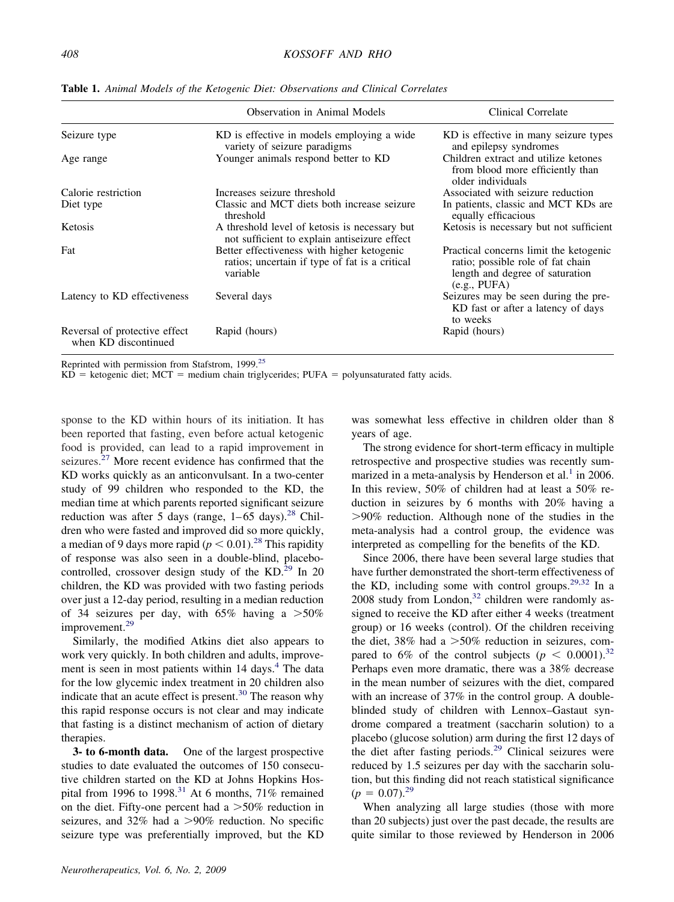|                                                       | <b>Observation in Animal Models</b>                                                                                                   | Clinical Correlate<br>KD is effective in many seizure types<br>and epilepsy syndromes                                          |  |
|-------------------------------------------------------|---------------------------------------------------------------------------------------------------------------------------------------|--------------------------------------------------------------------------------------------------------------------------------|--|
| Seizure type                                          | KD is effective in models employing a wide<br>variety of seizure paradigms                                                            |                                                                                                                                |  |
| Age range                                             | Younger animals respond better to KD<br>Children extract and utilize ketones<br>from blood more efficiently than<br>older individuals |                                                                                                                                |  |
| Calorie restriction                                   | Increases seizure threshold                                                                                                           | Associated with seizure reduction                                                                                              |  |
| Diet type                                             | Classic and MCT diets both increase seizure<br>threshold                                                                              | In patients, classic and MCT KDs are<br>equally efficacious                                                                    |  |
| Ketosis                                               | A threshold level of ketosis is necessary but<br>not sufficient to explain antiseizure effect                                         | Ketosis is necessary but not sufficient                                                                                        |  |
| Fat                                                   | Better effectiveness with higher ketogenic<br>ratios; uncertain if type of fat is a critical<br>variable                              | Practical concerns limit the ketogenic<br>ratio; possible role of fat chain<br>length and degree of saturation<br>(e.g., PUFA) |  |
| Latency to KD effectiveness                           | Several days                                                                                                                          | Seizures may be seen during the pre-<br>KD fast or after a latency of days<br>to weeks                                         |  |
| Reversal of protective effect<br>when KD discontinued | Rapid (hours)                                                                                                                         | Rapid (hours)                                                                                                                  |  |

**Table 1.** *Animal Models of the Ketogenic Diet: Observations and Clinical Correlates*

Reprinted with permission from Stafstrom, 1999.25

 $KD =$  ketogenic diet; MCT = medium chain triglycerides; PUFA = polyunsaturated fatty acids.

sponse to the KD within hours of its initiation. It has been reported that fasting, even before actual ketogenic food is provided, can lead to a rapid improvement in seizures.<sup>27</sup> More recent evidence has confirmed that the KD works quickly as an anticonvulsant. In a two-center study of 99 children who responded to the KD, the median time at which parents reported significant seizure reduction was after 5 days (range,  $1-65$  days).<sup>28</sup> Children who were fasted and improved did so more quickly, a median of 9 days more rapid ( $p < 0.01$ ).<sup>28</sup> This rapidity of response was also seen in a double-blind, placebocontrolled, crossover design study of the KD.<sup>29</sup> In 20 children, the KD was provided with two fasting periods over just a 12-day period, resulting in a median reduction of 34 seizures per day, with 65% having a  $>50\%$ improvement.<sup>29</sup>

Similarly, the modified Atkins diet also appears to work very quickly. In both children and adults, improvement is seen in most patients within 14 days.<sup>4</sup> The data for the low glycemic index treatment in 20 children also indicate that an acute effect is present. $30$  The reason why this rapid response occurs is not clear and may indicate that fasting is a distinct mechanism of action of dietary therapies.

**3- to 6-month data.** One of the largest prospective studies to date evaluated the outcomes of 150 consecutive children started on the KD at Johns Hopkins Hospital from 1996 to 1998.<sup>31</sup> At 6 months,  $71\%$  remained on the diet. Fifty-one percent had a  $>50\%$  reduction in seizures, and  $32\%$  had a  $>90\%$  reduction. No specific seizure type was preferentially improved, but the KD

was somewhat less effective in children older than 8 years of age.

The strong evidence for short-term efficacy in multiple retrospective and prospective studies was recently summarized in a meta-analysis by Henderson et al.<sup>1</sup> in 2006. In this review, 50% of children had at least a 50% reduction in seizures by 6 months with 20% having a 90% reduction. Although none of the studies in the meta-analysis had a control group, the evidence was interpreted as compelling for the benefits of the KD.

Since 2006, there have been several large studies that have further demonstrated the short-term effectiveness of the KD, including some with control groups.29,32 In a 2008 study from London, $32$  children were randomly assigned to receive the KD after either 4 weeks (treatment group) or 16 weeks (control). Of the children receiving the diet,  $38\%$  had a  $>50\%$  reduction in seizures, compared to 6% of the control subjects ( $p < 0.0001$ ).<sup>32</sup> Perhaps even more dramatic, there was a 38% decrease in the mean number of seizures with the diet, compared with an increase of 37% in the control group. A doubleblinded study of children with Lennox–Gastaut syndrome compared a treatment (saccharin solution) to a placebo (glucose solution) arm during the first 12 days of the diet after fasting periods.<sup>29</sup> Clinical seizures were reduced by 1.5 seizures per day with the saccharin solution, but this finding did not reach statistical significance  $(p = 0.07)^{29}$ 

When analyzing all large studies (those with more than 20 subjects) just over the past decade, the results are quite similar to those reviewed by Henderson in 2006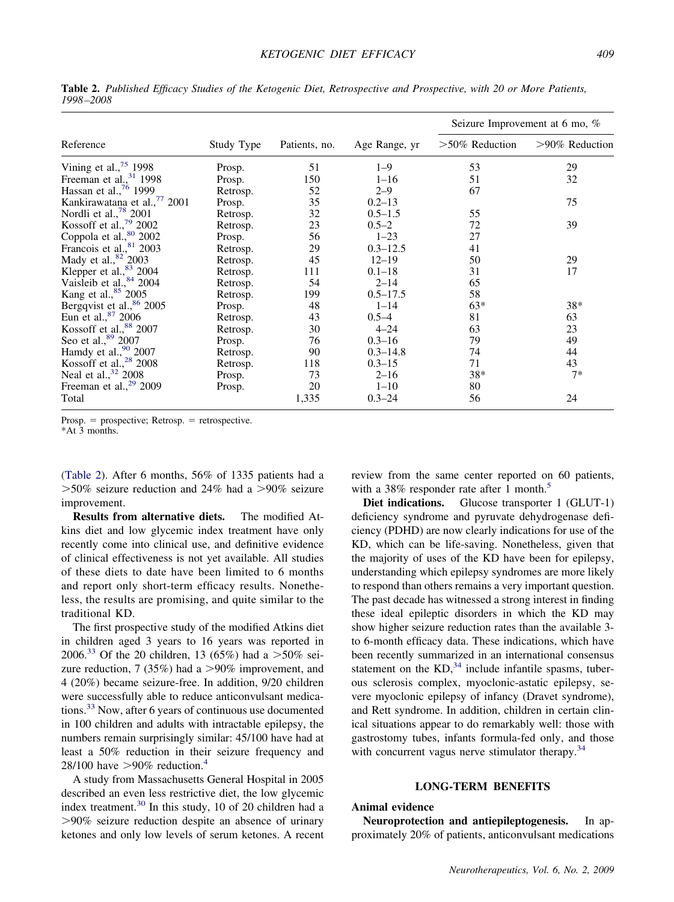| Reference                                | Study Type | Patients, no. | Age Range, yr | Seizure Improvement at 6 mo, % |                   |
|------------------------------------------|------------|---------------|---------------|--------------------------------|-------------------|
|                                          |            |               |               | $>50\%$ Reduction              | $>90\%$ Reduction |
| Vining et al., $75$ 1998                 | Prosp.     | 51            | $1 - 9$       | 53                             | 29                |
| Freeman et al., $31$ 1998                | Prosp.     | 150           | $1 - 16$      | 51                             | 32                |
| Hassan et al., $\frac{76}{1999}$         | Retrosp.   | 52            | $2 - 9$       | 67                             |                   |
| Kankirawatana et al., <sup>77</sup> 2001 | Prosp.     | 35            | $0.2 - 13$    |                                | 75                |
| Nordli et al., <sup>78</sup> 2001        | Retrosp.   | 32            | $0.5 - 1.5$   | 55                             |                   |
| Kossoff et al., <sup>79</sup> 2002       | Retrosp.   | 23            | $0.5 - 2$     | 72                             | 39                |
| Coppola et al., <sup>80</sup> 2002       | Prosp.     | 56            | $1 - 23$      | 27                             |                   |
| Francois et al., 81 2003                 | Retrosp.   | 29            | $0.3 - 12.5$  | 41                             |                   |
| Mady et al., <sup>82</sup> 2003          | Retrosp.   | 45            | $12 - 19$     | 50                             | 29                |
| Klepper et al., <sup>83</sup> 2004       | Retrosp.   | 111           | $0.1 - 18$    | 31                             | 17                |
| Vaisleib et al., 84 2004                 | Retrosp.   | 54            | $2 - 14$      | 65                             |                   |
| Kang et al., <sup>85</sup> 2005          | Retrosp.   | 199           | $0.5 - 17.5$  | 58                             |                   |
| Bergqvist et al., <sup>86</sup> 2005     | Prosp.     | 48            | $1 - 14$      | $63*$                          | 38*               |
| Eun et al., 87 2006                      | Retrosp.   | 43            | $0.5 - 4$     | 81                             | 63                |
| Kossoff et al., <sup>88</sup> 2007       | Retrosp.   | 30            | $4 - 24$      | 63                             | 23                |
| Seo et al., 89 2007                      | Prosp.     | 76            | $0.3 - 16$    | 79                             | 49                |
| Hamdy et al., $90,2007$                  | Retrosp.   | 90            | $0.3 - 14.8$  | 74                             | 44                |
| Kossoff et al., $28$ 2008                | Retrosp.   | 118           | $0.3 - 15$    | 71                             | 43                |
| Neal et al., <sup>32</sup> 2008          | Prosp.     | 73            | $2 - 16$      | 38*                            | $7*$              |
| Freeman et al., <sup>29</sup> 2009       | Prosp.     | 20            | $1 - 10$      | 80                             |                   |
| Total                                    |            | 1,335         | $0.3 - 24$    | 56                             | 24                |

**Table 2.** *Published Efficacy Studies of the Ketogenic Diet, Retrospective and Prospective, with 20 or More Patients, 1998 –2008*

 $Prosp. = prospective; Retrosp. = retrospective.$ 

\*At 3 months.

(Table 2). After 6 months, 56% of 1335 patients had a  $>50\%$  seizure reduction and 24% had a  $>90\%$  seizure improvement.

**Results from alternative diets.** The modified Atkins diet and low glycemic index treatment have only recently come into clinical use, and definitive evidence of clinical effectiveness is not yet available. All studies of these diets to date have been limited to 6 months and report only short-term efficacy results. Nonetheless, the results are promising, and quite similar to the traditional KD.

The first prospective study of the modified Atkins diet in children aged 3 years to 16 years was reported in 2006.<sup>33</sup> Of the 20 children, 13 (65%) had a  $>50\%$  seizure reduction, 7 (35%) had a  $>90\%$  improvement, and 4 (20%) became seizure-free. In addition, 9/20 children were successfully able to reduce anticonvulsant medications.<sup>33</sup> Now, after 6 years of continuous use documented in 100 children and adults with intractable epilepsy, the numbers remain surprisingly similar: 45/100 have had at least a 50% reduction in their seizure frequency and 28/100 have  $>90\%$  reduction.<sup>4</sup>

A study from Massachusetts General Hospital in 2005 described an even less restrictive diet, the low glycemic index treatment.30 In this study, 10 of 20 children had a 90% seizure reduction despite an absence of urinary ketones and only low levels of serum ketones. A recent review from the same center reported on 60 patients, with a 38% responder rate after 1 month.<sup>5</sup>

Diet indications. Glucose transporter 1 (GLUT-1) deficiency syndrome and pyruvate dehydrogenase deficiency (PDHD) are now clearly indications for use of the KD, which can be life-saving. Nonetheless, given that the majority of uses of the KD have been for epilepsy, understanding which epilepsy syndromes are more likely to respond than others remains a very important question. The past decade has witnessed a strong interest in finding these ideal epileptic disorders in which the KD may show higher seizure reduction rates than the available 3 to 6-month efficacy data. These indications, which have been recently summarized in an international consensus statement on the  $KD<sub>34</sub>$  include infantile spasms, tuberous sclerosis complex, myoclonic-astatic epilepsy, severe myoclonic epilepsy of infancy (Dravet syndrome), and Rett syndrome. In addition, children in certain clinical situations appear to do remarkably well: those with gastrostomy tubes, infants formula-fed only, and those with concurrent vagus nerve stimulator therapy.<sup>34</sup>

#### **LONG-TERM BENEFITS**

# **Animal evidence**

**Neuroprotection and antiepileptogenesis.** In approximately 20% of patients, anticonvulsant medications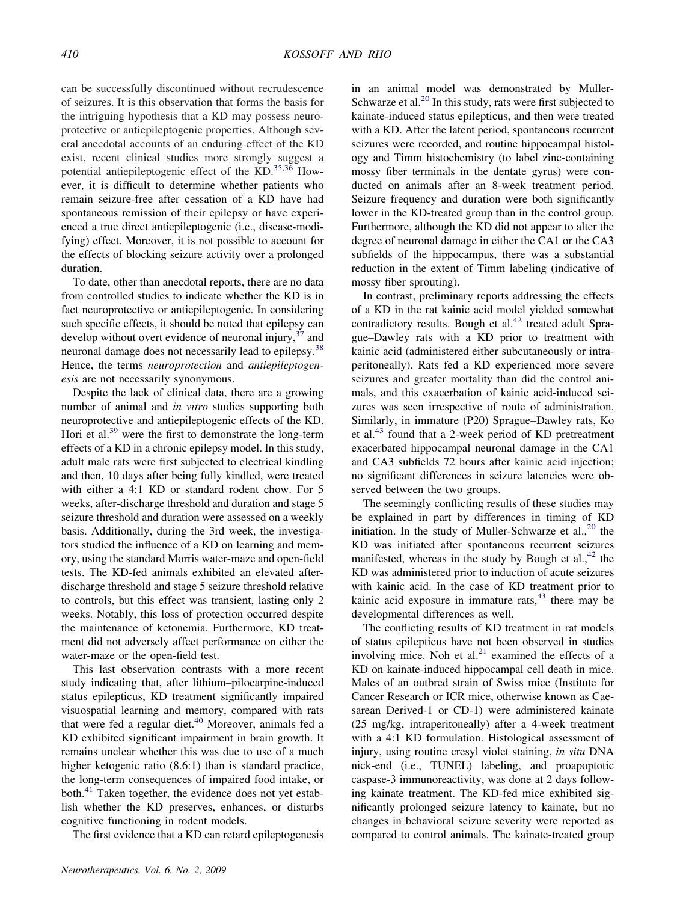can be successfully discontinued without recrudescence of seizures. It is this observation that forms the basis for the intriguing hypothesis that a KD may possess neuroprotective or antiepileptogenic properties. Although several anecdotal accounts of an enduring effect of the KD exist, recent clinical studies more strongly suggest a potential antiepileptogenic effect of the KD.<sup>35,36</sup> However, it is difficult to determine whether patients who remain seizure-free after cessation of a KD have had spontaneous remission of their epilepsy or have experienced a true direct antiepileptogenic (i.e., disease-modifying) effect. Moreover, it is not possible to account for the effects of blocking seizure activity over a prolonged duration.

To date, other than anecdotal reports, there are no data from controlled studies to indicate whether the KD is in fact neuroprotective or antiepileptogenic. In considering such specific effects, it should be noted that epilepsy can develop without overt evidence of neuronal injury, $37$  and neuronal damage does not necessarily lead to epilepsy.<sup>38</sup> Hence, the terms *neuroprotection* and *antiepileptogenesis* are not necessarily synonymous.

Despite the lack of clinical data, there are a growing number of animal and *in vitro* studies supporting both neuroprotective and antiepileptogenic effects of the KD. Hori et al. $^{39}$  were the first to demonstrate the long-term effects of a KD in a chronic epilepsy model. In this study, adult male rats were first subjected to electrical kindling and then, 10 days after being fully kindled, were treated with either a 4:1 KD or standard rodent chow. For 5 weeks, after-discharge threshold and duration and stage 5 seizure threshold and duration were assessed on a weekly basis. Additionally, during the 3rd week, the investigators studied the influence of a KD on learning and memory, using the standard Morris water-maze and open-field tests. The KD-fed animals exhibited an elevated afterdischarge threshold and stage 5 seizure threshold relative to controls, but this effect was transient, lasting only 2 weeks. Notably, this loss of protection occurred despite the maintenance of ketonemia. Furthermore, KD treatment did not adversely affect performance on either the water-maze or the open-field test.

This last observation contrasts with a more recent study indicating that, after lithium–pilocarpine-induced status epilepticus, KD treatment significantly impaired visuospatial learning and memory, compared with rats that were fed a regular diet. $40$  Moreover, animals fed a KD exhibited significant impairment in brain growth. It remains unclear whether this was due to use of a much higher ketogenic ratio  $(8.6:1)$  than is standard practice, the long-term consequences of impaired food intake, or both.<sup>41</sup> Taken together, the evidence does not yet establish whether the KD preserves, enhances, or disturbs cognitive functioning in rodent models.

The first evidence that a KD can retard epileptogenesis

in an animal model was demonstrated by Muller-Schwarze et al.<sup>20</sup> In this study, rats were first subjected to kainate-induced status epilepticus, and then were treated with a KD. After the latent period, spontaneous recurrent seizures were recorded, and routine hippocampal histology and Timm histochemistry (to label zinc-containing mossy fiber terminals in the dentate gyrus) were conducted on animals after an 8-week treatment period. Seizure frequency and duration were both significantly lower in the KD-treated group than in the control group. Furthermore, although the KD did not appear to alter the degree of neuronal damage in either the CA1 or the CA3 subfields of the hippocampus, there was a substantial reduction in the extent of Timm labeling (indicative of mossy fiber sprouting).

In contrast, preliminary reports addressing the effects of a KD in the rat kainic acid model yielded somewhat contradictory results. Bough et al.<sup>42</sup> treated adult Sprague–Dawley rats with a KD prior to treatment with kainic acid (administered either subcutaneously or intraperitoneally). Rats fed a KD experienced more severe seizures and greater mortality than did the control animals, and this exacerbation of kainic acid-induced seizures was seen irrespective of route of administration. Similarly, in immature (P20) Sprague–Dawley rats, Ko et al.<sup>43</sup> found that a 2-week period of KD pretreatment exacerbated hippocampal neuronal damage in the CA1 and CA3 subfields 72 hours after kainic acid injection; no significant differences in seizure latencies were observed between the two groups.

The seemingly conflicting results of these studies may be explained in part by differences in timing of KD initiation. In the study of Muller-Schwarze et al.,  $^{20}$  the KD was initiated after spontaneous recurrent seizures manifested, whereas in the study by Bough et al., $42$  the KD was administered prior to induction of acute seizures with kainic acid. In the case of KD treatment prior to kainic acid exposure in immature rats, $43$  there may be developmental differences as well.

The conflicting results of KD treatment in rat models of status epilepticus have not been observed in studies involving mice. Noh et al. $^{21}$  examined the effects of a KD on kainate-induced hippocampal cell death in mice. Males of an outbred strain of Swiss mice (Institute for Cancer Research or ICR mice, otherwise known as Caesarean Derived-1 or CD-1) were administered kainate (25 mg/kg, intraperitoneally) after a 4-week treatment with a 4:1 KD formulation. Histological assessment of injury, using routine cresyl violet staining, *in situ* DNA nick-end (i.e., TUNEL) labeling, and proapoptotic caspase-3 immunoreactivity, was done at 2 days following kainate treatment. The KD-fed mice exhibited significantly prolonged seizure latency to kainate, but no changes in behavioral seizure severity were reported as compared to control animals. The kainate-treated group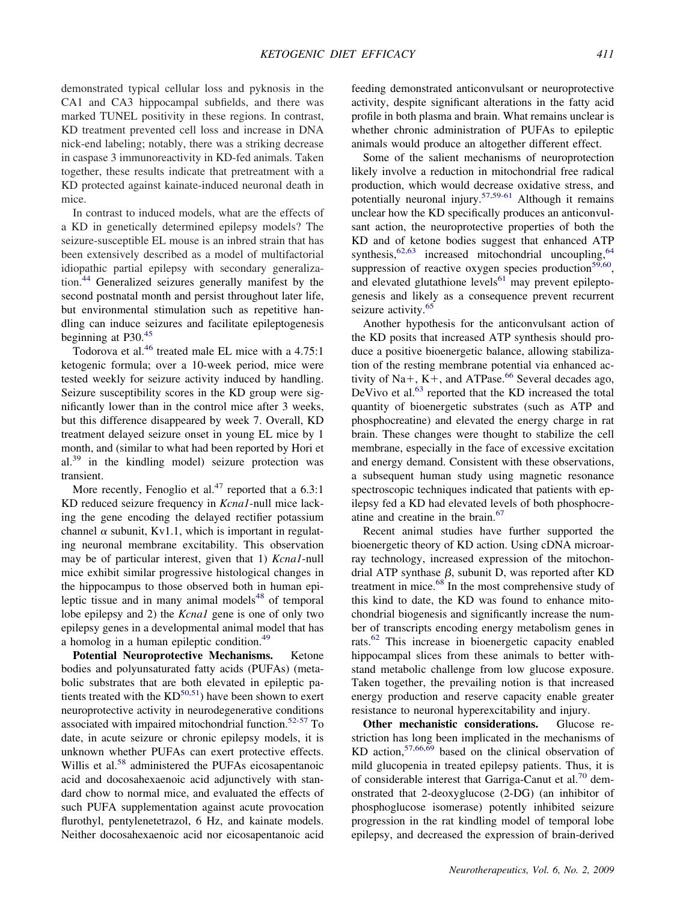demonstrated typical cellular loss and pyknosis in the CA1 and CA3 hippocampal subfields, and there was marked TUNEL positivity in these regions. In contrast, KD treatment prevented cell loss and increase in DNA nick-end labeling; notably, there was a striking decrease in caspase 3 immunoreactivity in KD-fed animals. Taken together, these results indicate that pretreatment with a KD protected against kainate-induced neuronal death in mice.

In contrast to induced models, what are the effects of a KD in genetically determined epilepsy models? The seizure-susceptible EL mouse is an inbred strain that has been extensively described as a model of multifactorial idiopathic partial epilepsy with secondary generalization.44 Generalized seizures generally manifest by the second postnatal month and persist throughout later life, but environmental stimulation such as repetitive handling can induce seizures and facilitate epileptogenesis beginning at P30.<sup>45</sup>

Todorova et al.<sup>46</sup> treated male EL mice with a 4.75:1 ketogenic formula; over a 10-week period, mice were tested weekly for seizure activity induced by handling. Seizure susceptibility scores in the KD group were significantly lower than in the control mice after 3 weeks, but this difference disappeared by week 7. Overall, KD treatment delayed seizure onset in young EL mice by 1 month, and (similar to what had been reported by Hori et  $al.^{39}$  in the kindling model) seizure protection was transient.

More recently, Fenoglio et al.<sup>47</sup> reported that a  $6.3:1$ KD reduced seizure frequency in *Kcna1*-null mice lacking the gene encoding the delayed rectifier potassium channel  $\alpha$  subunit, Kv1.1, which is important in regulating neuronal membrane excitability. This observation may be of particular interest, given that 1) *Kcna1*-null mice exhibit similar progressive histological changes in the hippocampus to those observed both in human epileptic tissue and in many animal models $48$  of temporal lobe epilepsy and 2) the *Kcna1* gene is one of only two epilepsy genes in a developmental animal model that has a homolog in a human epileptic condition.<sup>49</sup>

**Potential Neuroprotective Mechanisms.** Ketone bodies and polyunsaturated fatty acids (PUFAs) (metabolic substrates that are both elevated in epileptic patients treated with the  $KD^{50,51}$ ) have been shown to exert neuroprotective activity in neurodegenerative conditions associated with impaired mitochondrial function.<sup>52-57</sup> To date, in acute seizure or chronic epilepsy models, it is unknown whether PUFAs can exert protective effects. Willis et al.<sup>58</sup> administered the PUFAs eicosapentanoic acid and docosahexaenoic acid adjunctively with standard chow to normal mice, and evaluated the effects of such PUFA supplementation against acute provocation flurothyl, pentylenetetrazol, 6 Hz, and kainate models. Neither docosahexaenoic acid nor eicosapentanoic acid

feeding demonstrated anticonvulsant or neuroprotective activity, despite significant alterations in the fatty acid profile in both plasma and brain. What remains unclear is whether chronic administration of PUFAs to epileptic animals would produce an altogether different effect.

Some of the salient mechanisms of neuroprotection likely involve a reduction in mitochondrial free radical production, which would decrease oxidative stress, and potentially neuronal injury.57,59-61 Although it remains unclear how the KD specifically produces an anticonvulsant action, the neuroprotective properties of both the KD and of ketone bodies suggest that enhanced ATP synthesis,  $62,63$  increased mitochondrial uncoupling,  $64$ suppression of reactive oxygen species production $59,60$ , and elevated glutathione levels $61$  may prevent epileptogenesis and likely as a consequence prevent recurrent seizure activity.<sup>65</sup>

Another hypothesis for the anticonvulsant action of the KD posits that increased ATP synthesis should produce a positive bioenergetic balance, allowing stabilization of the resting membrane potential via enhanced activity of Na+, K+, and ATPase.<sup>66</sup> Several decades ago, DeVivo et al.<sup>63</sup> reported that the KD increased the total quantity of bioenergetic substrates (such as ATP and phosphocreatine) and elevated the energy charge in rat brain. These changes were thought to stabilize the cell membrane, especially in the face of excessive excitation and energy demand. Consistent with these observations, a subsequent human study using magnetic resonance spectroscopic techniques indicated that patients with epilepsy fed a KD had elevated levels of both phosphocreatine and creatine in the brain.<sup>67</sup>

Recent animal studies have further supported the bioenergetic theory of KD action. Using cDNA microarray technology, increased expression of the mitochondrial ATP synthase  $\beta$ , subunit D, was reported after KD treatment in mice.<sup>68</sup> In the most comprehensive study of this kind to date, the KD was found to enhance mitochondrial biogenesis and significantly increase the number of transcripts encoding energy metabolism genes in rats.<sup>62</sup> This increase in bioenergetic capacity enabled hippocampal slices from these animals to better withstand metabolic challenge from low glucose exposure. Taken together, the prevailing notion is that increased energy production and reserve capacity enable greater resistance to neuronal hyperexcitability and injury.

**Other mechanistic considerations.** Glucose restriction has long been implicated in the mechanisms of KD action,<sup>57,66,69</sup> based on the clinical observation of mild glucopenia in treated epilepsy patients. Thus, it is of considerable interest that Garriga-Canut et al.<sup>70</sup> demonstrated that 2-deoxyglucose (2-DG) (an inhibitor of phosphoglucose isomerase) potently inhibited seizure progression in the rat kindling model of temporal lobe epilepsy, and decreased the expression of brain-derived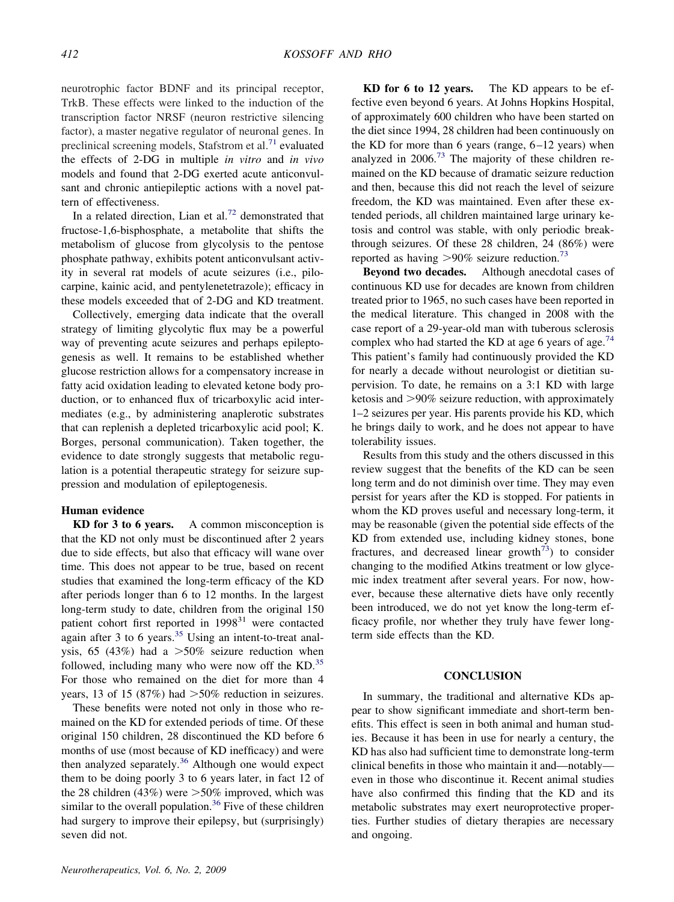neurotrophic factor BDNF and its principal receptor, TrkB. These effects were linked to the induction of the transcription factor NRSF (neuron restrictive silencing factor), a master negative regulator of neuronal genes. In preclinical screening models, Stafstrom et al.<sup>71</sup> evaluated the effects of 2-DG in multiple *in vitro* and *in vivo* models and found that 2-DG exerted acute anticonvulsant and chronic antiepileptic actions with a novel pattern of effectiveness.

In a related direction, Lian et al.<sup>72</sup> demonstrated that fructose-1,6-bisphosphate, a metabolite that shifts the metabolism of glucose from glycolysis to the pentose phosphate pathway, exhibits potent anticonvulsant activity in several rat models of acute seizures (i.e., pilocarpine, kainic acid, and pentylenetetrazole); efficacy in these models exceeded that of 2-DG and KD treatment.

Collectively, emerging data indicate that the overall strategy of limiting glycolytic flux may be a powerful way of preventing acute seizures and perhaps epileptogenesis as well. It remains to be established whether glucose restriction allows for a compensatory increase in fatty acid oxidation leading to elevated ketone body production, or to enhanced flux of tricarboxylic acid intermediates (e.g., by administering anaplerotic substrates that can replenish a depleted tricarboxylic acid pool; K. Borges, personal communication). Taken together, the evidence to date strongly suggests that metabolic regulation is a potential therapeutic strategy for seizure suppression and modulation of epileptogenesis.

# **Human evidence**

**KD for 3 to 6 years.** A common misconception is that the KD not only must be discontinued after 2 years due to side effects, but also that efficacy will wane over time. This does not appear to be true, based on recent studies that examined the long-term efficacy of the KD after periods longer than 6 to 12 months. In the largest long-term study to date, children from the original 150 patient cohort first reported in 1998<sup>31</sup> were contacted again after 3 to 6 years.<sup>35</sup> Using an intent-to-treat analysis, 65 (43%) had a  $>50\%$  seizure reduction when followed, including many who were now off the  $KD$ <sup>35</sup> For those who remained on the diet for more than 4 years, 13 of 15 (87%) had  $>50\%$  reduction in seizures.

These benefits were noted not only in those who remained on the KD for extended periods of time. Of these original 150 children, 28 discontinued the KD before 6 months of use (most because of KD inefficacy) and were then analyzed separately.<sup>36</sup> Although one would expect them to be doing poorly 3 to 6 years later, in fact 12 of the 28 children (43%) were  $>50\%$  improved, which was similar to the overall population.<sup>36</sup> Five of these children had surgery to improve their epilepsy, but (surprisingly) seven did not.

**KD for 6 to 12 years.** The KD appears to be effective even beyond 6 years. At Johns Hopkins Hospital, of approximately 600 children who have been started on the diet since 1994, 28 children had been continuously on the KD for more than 6 years (range,  $6-12$  years) when analyzed in 2006.<sup>73</sup> The majority of these children remained on the KD because of dramatic seizure reduction and then, because this did not reach the level of seizure freedom, the KD was maintained. Even after these extended periods, all children maintained large urinary ketosis and control was stable, with only periodic breakthrough seizures. Of these 28 children, 24 (86%) were reported as having  $>90\%$  seizure reduction.<sup>73</sup>

**Beyond two decades.** Although anecdotal cases of continuous KD use for decades are known from children treated prior to 1965, no such cases have been reported in the medical literature. This changed in 2008 with the case report of a 29-year-old man with tuberous sclerosis complex who had started the KD at age 6 years of age.<sup>74</sup> This patient's family had continuously provided the KD for nearly a decade without neurologist or dietitian supervision. To date, he remains on a 3:1 KD with large ketosis and >90% seizure reduction, with approximately 1–2 seizures per year. His parents provide his KD, which he brings daily to work, and he does not appear to have tolerability issues.

Results from this study and the others discussed in this review suggest that the benefits of the KD can be seen long term and do not diminish over time. They may even persist for years after the KD is stopped. For patients in whom the KD proves useful and necessary long-term, it may be reasonable (given the potential side effects of the KD from extended use, including kidney stones, bone fractures, and decreased linear growth<sup> $73$ </sup>) to consider changing to the modified Atkins treatment or low glycemic index treatment after several years. For now, however, because these alternative diets have only recently been introduced, we do not yet know the long-term efficacy profile, nor whether they truly have fewer longterm side effects than the KD.

#### **CONCLUSION**

In summary, the traditional and alternative KDs appear to show significant immediate and short-term benefits. This effect is seen in both animal and human studies. Because it has been in use for nearly a century, the KD has also had sufficient time to demonstrate long-term clinical benefits in those who maintain it and—notably even in those who discontinue it. Recent animal studies have also confirmed this finding that the KD and its metabolic substrates may exert neuroprotective properties. Further studies of dietary therapies are necessary and ongoing.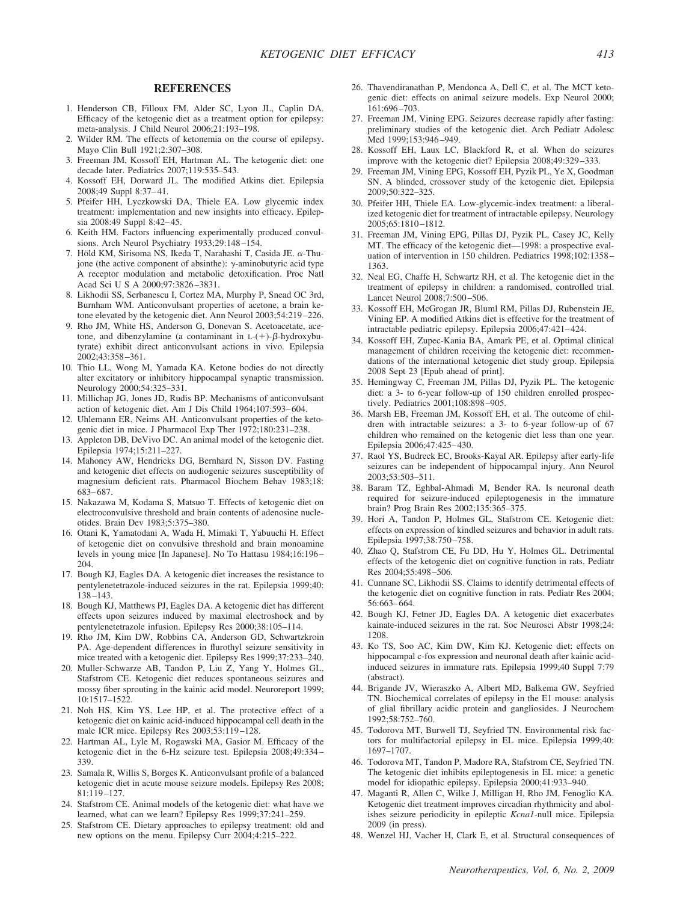## **REFERENCES**

- 1. Henderson CB, Filloux FM, Alder SC, Lyon JL, Caplin DA. Efficacy of the ketogenic diet as a treatment option for epilepsy: meta-analysis. J Child Neurol 2006;21:193–198.
- 2. Wilder RM. The effects of ketonemia on the course of epilepsy. Mayo Clin Bull 1921;2:307–308.
- 3. Freeman JM, Kossoff EH, Hartman AL. The ketogenic diet: one decade later. Pediatrics 2007;119:535–543.
- 4. Kossoff EH, Dorward JL. The modified Atkins diet. Epilepsia 2008;49 Suppl 8:37– 41.
- 5. Pfeifer HH, Lyczkowski DA, Thiele EA. Low glycemic index treatment: implementation and new insights into efficacy. Epilepsia 2008:49 Suppl 8:42– 45.
- 6. Keith HM. Factors influencing experimentally produced convulsions. Arch Neurol Psychiatry 1933;29:148 –154.
- 7. Höld KM, Sirisoma NS, Ikeda T, Narahashi T, Casida JE.  $\alpha$ -Thujone (the active component of absinthe):  $\gamma$ -aminobutyric acid type A receptor modulation and metabolic detoxification. Proc Natl Acad Sci U S A 2000;97:3826-3831.
- 8. Likhodii SS, Serbanescu I, Cortez MA, Murphy P, Snead OC 3rd, Burnham WM. Anticonvulsant properties of acetone, a brain ketone elevated by the ketogenic diet. Ann Neurol 2003;54:219 –226.
- 9. Rho JM, White HS, Anderson G, Donevan S. Acetoacetate, acetone, and dibenzylamine (a contaminant in  $L-(+)$ - $\beta$ -hydroxybutyrate) exhibit direct anticonvulsant actions in vivo. Epilepsia 2002;43:358 –361.
- 10. Thio LL, Wong M, Yamada KA. Ketone bodies do not directly alter excitatory or inhibitory hippocampal synaptic transmission. Neurology 2000;54:325–331.
- 11. Millichap JG, Jones JD, Rudis BP. Mechanisms of anticonvulsant action of ketogenic diet. Am J Dis Child 1964;107:593– 604.
- 12. Uhlemann ER, Neims AH. Anticonvulsant properties of the ketogenic diet in mice. J Pharmacol Exp Ther 1972;180:231–238.
- 13. Appleton DB, DeVivo DC. An animal model of the ketogenic diet. Epilepsia 1974;15:211–227.
- 14. Mahoney AW, Hendricks DG, Bernhard N, Sisson DV. Fasting and ketogenic diet effects on audiogenic seizures susceptibility of magnesium deficient rats. Pharmacol Biochem Behav 1983;18: 683– 687.
- 15. Nakazawa M, Kodama S, Matsuo T. Effects of ketogenic diet on electroconvulsive threshold and brain contents of adenosine nucleotides. Brain Dev 1983;5:375–380.
- 16. Otani K, Yamatodani A, Wada H, Mimaki T, Yabuuchi H. Effect of ketogenic diet on convulsive threshold and brain monoamine levels in young mice [In Japanese]. No To Hattasu 1984;16:196 – 204.
- 17. Bough KJ, Eagles DA. A ketogenic diet increases the resistance to pentylenetetrazole-induced seizures in the rat. Epilepsia 1999;40: 138 –143.
- 18. Bough KJ, Matthews PJ, Eagles DA. A ketogenic diet has different effects upon seizures induced by maximal electroshock and by pentylenetetrazole infusion. Epilepsy Res 2000;38:105–114.
- 19. Rho JM, Kim DW, Robbins CA, Anderson GD, Schwartzkroin PA. Age-dependent differences in flurothyl seizure sensitivity in mice treated with a ketogenic diet. Epilepsy Res 1999;37:233–240.
- 20. Muller-Schwarze AB, Tandon P, Liu Z, Yang Y, Holmes GL, Stafstrom CE. Ketogenic diet reduces spontaneous seizures and mossy fiber sprouting in the kainic acid model. Neuroreport 1999; 10:1517–1522.
- 21. Noh HS, Kim YS, Lee HP, et al. The protective effect of a ketogenic diet on kainic acid-induced hippocampal cell death in the male ICR mice. Epilepsy Res 2003;53:119 –128.
- 22. Hartman AL, Lyle M, Rogawski MA, Gasior M. Efficacy of the ketogenic diet in the 6-Hz seizure test. Epilepsia 2008;49:334 – 339.
- 23. Samala R, Willis S, Borges K. Anticonvulsant profile of a balanced ketogenic diet in acute mouse seizure models. Epilepsy Res 2008; 81:119 –127.
- 24. Stafstrom CE. Animal models of the ketogenic diet: what have we learned, what can we learn? Epilepsy Res 1999;37:241–259.
- 25. Stafstrom CE. Dietary approaches to epilepsy treatment: old and new options on the menu. Epilepsy Curr 2004;4:215–222.
- 26. Thavendiranathan P, Mendonca A, Dell C, et al. The MCT ketogenic diet: effects on animal seizure models. Exp Neurol 2000; 161:696 –703.
- 27. Freeman JM, Vining EPG. Seizures decrease rapidly after fasting: preliminary studies of the ketogenic diet. Arch Pediatr Adolesc Med 1999;153:946-949.
- 28. Kossoff EH, Laux LC, Blackford R, et al. When do seizures improve with the ketogenic diet? Epilepsia 2008;49:329 –333.
- 29. Freeman JM, Vining EPG, Kossoff EH, Pyzik PL, Ye X, Goodman SN. A blinded, crossover study of the ketogenic diet. Epilepsia 2009;50:322–325.
- 30. Pfeifer HH, Thiele EA. Low-glycemic-index treatment: a liberalized ketogenic diet for treatment of intractable epilepsy. Neurology 2005;65:1810 –1812.
- 31. Freeman JM, Vining EPG, Pillas DJ, Pyzik PL, Casey JC, Kelly MT. The efficacy of the ketogenic diet—1998: a prospective evaluation of intervention in 150 children. Pediatrics 1998;102:1358 – 1363.
- 32. Neal EG, Chaffe H, Schwartz RH, et al. The ketogenic diet in the treatment of epilepsy in children: a randomised, controlled trial. Lancet Neurol 2008;7:500 –506.
- 33. Kossoff EH, McGrogan JR, Bluml RM, Pillas DJ, Rubenstein JE, Vining EP. A modified Atkins diet is effective for the treatment of intractable pediatric epilepsy. Epilepsia 2006;47:421– 424.
- 34. Kossoff EH, Zupec-Kania BA, Amark PE, et al. Optimal clinical management of children receiving the ketogenic diet: recommendations of the international ketogenic diet study group. Epilepsia 2008 Sept 23 [Epub ahead of print].
- 35. Hemingway C, Freeman JM, Pillas DJ, Pyzik PL. The ketogenic diet: a 3- to 6-year follow-up of 150 children enrolled prospectively. Pediatrics 2001;108:898 –905.
- 36. Marsh EB, Freeman JM, Kossoff EH, et al. The outcome of children with intractable seizures: a 3- to 6-year follow-up of 67 children who remained on the ketogenic diet less than one year. Epilepsia 2006;47:425– 430.
- 37. Raol YS, Budreck EC, Brooks-Kayal AR. Epilepsy after early-life seizures can be independent of hippocampal injury. Ann Neurol 2003;53:503–511.
- 38. Baram TZ, Eghbal-Ahmadi M, Bender RA. Is neuronal death required for seizure-induced epileptogenesis in the immature brain? Prog Brain Res 2002;135:365–375.
- 39. Hori A, Tandon P, Holmes GL, Stafstrom CE. Ketogenic diet: effects on expression of kindled seizures and behavior in adult rats. Epilepsia 1997;38:750 –758.
- 40. Zhao Q, Stafstrom CE, Fu DD, Hu Y, Holmes GL. Detrimental effects of the ketogenic diet on cognitive function in rats. Pediatr Res 2004;55:498 –506.
- 41. Cunnane SC, Likhodii SS. Claims to identify detrimental effects of the ketogenic diet on cognitive function in rats. Pediatr Res 2004; 56:663– 664.
- 42. Bough KJ, Fetner JD, Eagles DA. A ketogenic diet exacerbates kainate-induced seizures in the rat. Soc Neurosci Abstr 1998;24: 1208.
- 43. Ko TS, Soo AC, Kim DW, Kim KJ. Ketogenic diet: effects on hippocampal c-fos expression and neuronal death after kainic acidinduced seizures in immature rats. Epilepsia 1999;40 Suppl 7:79 (abstract).
- 44. Brigande JV, Wieraszko A, Albert MD, Balkema GW, Seyfried TN. Biochemical correlates of epilepsy in the E1 mouse: analysis of glial fibrillary acidic protein and gangliosides. J Neurochem 1992;58:752–760.
- 45. Todorova MT, Burwell TJ, Seyfried TN. Environmental risk factors for multifactorial epilepsy in EL mice. Epilepsia 1999;40: 1697–1707.
- 46. Todorova MT, Tandon P, Madore RA, Stafstrom CE, Seyfried TN. The ketogenic diet inhibits epileptogenesis in EL mice: a genetic model for idiopathic epilepsy. Epilepsia 2000;41:933–940.
- 47. Maganti R, Allen C, Wilke J, Milligan H, Rho JM, Fenoglio KA. Ketogenic diet treatment improves circadian rhythmicity and abolishes seizure periodicity in epileptic *Kcna1*-null mice. Epilepsia 2009 (in press).
- 48. Wenzel HJ, Vacher H, Clark E, et al. Structural consequences of